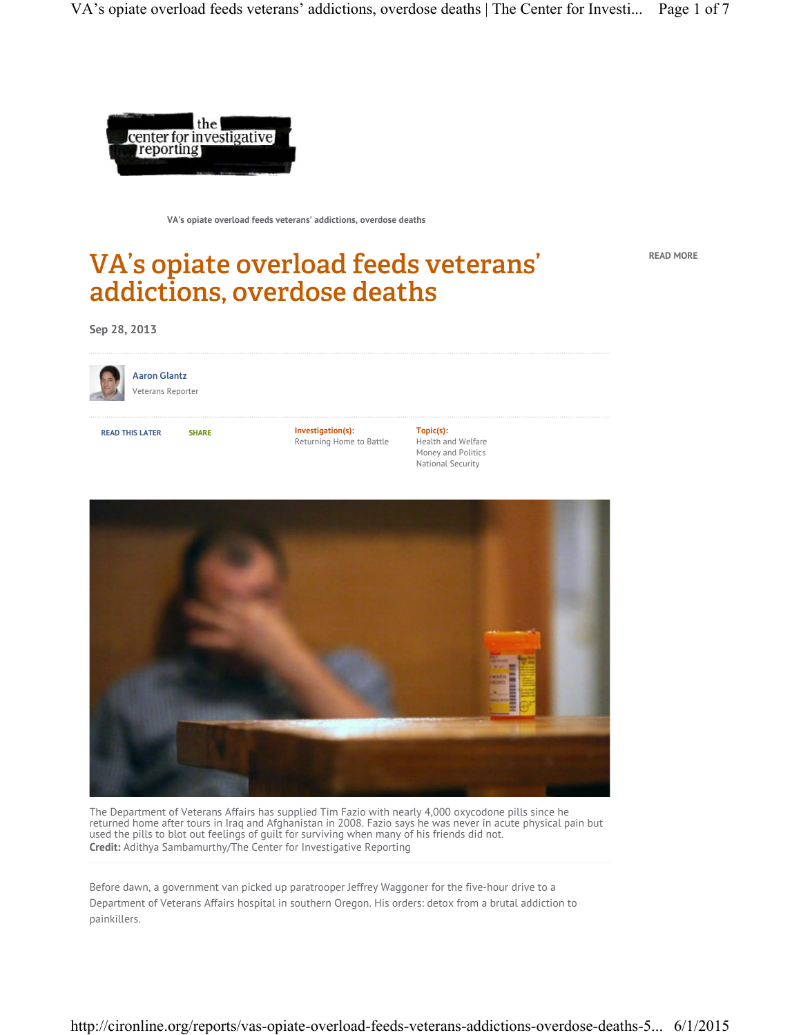

**VA's opiate overload feeds veterans' addictions, overdose deaths**

# VA's opiate overload feeds veterans' addictions, overdose deaths

**READ MORE**

**Sep 28, 2013**



**Aaron Glantz** Veterans Reporter

**READ THIS LATER SHARE Investigation(s):** Returning Home to Battle **Topic(s):** Health and Welfare Money and Politics National Security



The Department of Veterans Affairs has supplied Tim Fazio with nearly 4,000 oxycodone pills since he returned home after tours in Iraq and Afghanistan in 2008. Fazio says he was never in acute physical pain but used the pills to blot out feelings of guilt for surviving when many of his friends did not. **Credit:** Adithya Sambamurthy/The Center for Investigative Reporting

Before dawn, a government van picked up paratrooper Jeffrey Waggoner for the five-hour drive to a Department of Veterans Affairs hospital in southern Oregon. His orders: detox from a brutal addiction to painkillers.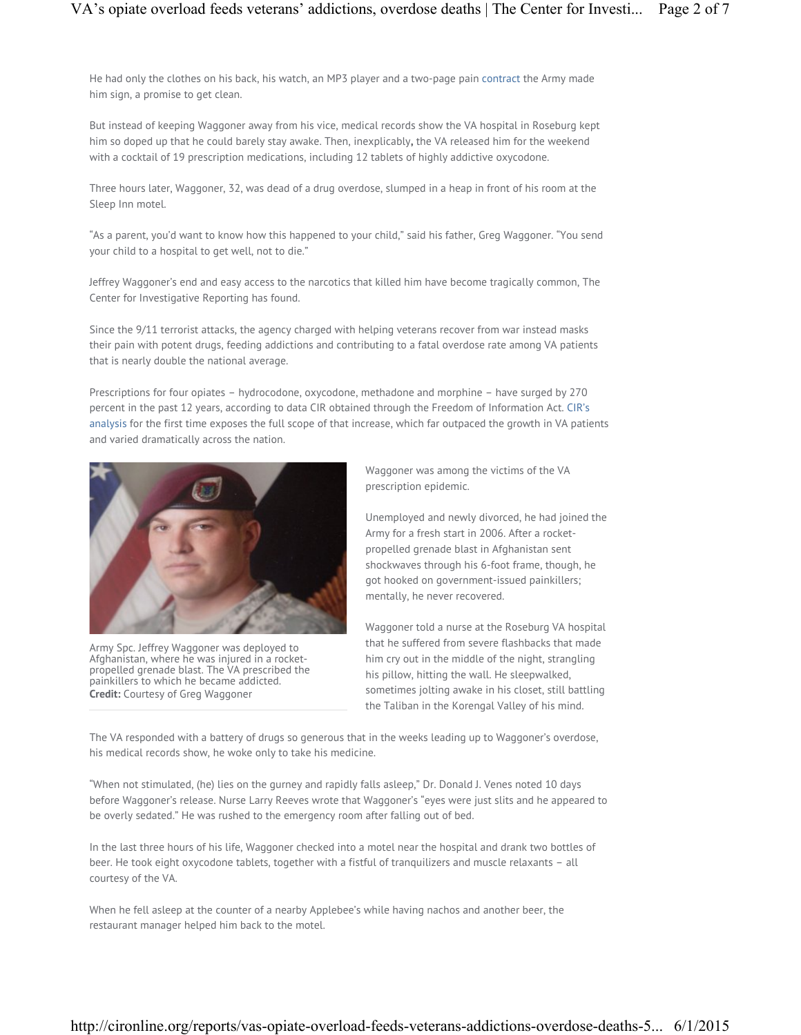He had only the clothes on his back, his watch, an MP3 player and a two-page pain contract the Army made him sign, a promise to get clean.

But instead of keeping Waggoner away from his vice, medical records show the VA hospital in Roseburg kept him so doped up that he could barely stay awake. Then, inexplicably**,** the VA released him for the weekend with a cocktail of 19 prescription medications, including 12 tablets of highly addictive oxycodone.

Three hours later, Waggoner, 32, was dead of a drug overdose, slumped in a heap in front of his room at the Sleep Inn motel.

"As a parent, you'd want to know how this happened to your child," said his father, Greg Waggoner. "You send your child to a hospital to get well, not to die."

Jeffrey Waggoner's end and easy access to the narcotics that killed him have become tragically common, The Center for Investigative Reporting has found.

Since the 9/11 terrorist attacks, the agency charged with helping veterans recover from war instead masks their pain with potent drugs, feeding addictions and contributing to a fatal overdose rate among VA patients that is nearly double the national average.

Prescriptions for four opiates – hydrocodone, oxycodone, methadone and morphine – have surged by 270 percent in the past 12 years, according to data CIR obtained through the Freedom of Information Act. CIR's analysis for the first time exposes the full scope of that increase, which far outpaced the growth in VA patients and varied dramatically across the nation.



Army Spc. Jeffrey Waggoner was deployed to Afghanistan, where he was injured in a rocketpropelled grenade blast. The VA prescribed the painkillers to which he became addicted. **Credit:** Courtesy of Greg Waggoner

Waggoner was among the victims of the VA prescription epidemic.

Unemployed and newly divorced, he had joined the Army for a fresh start in 2006. After a rocketpropelled grenade blast in Afghanistan sent shockwaves through his 6-foot frame, though, he got hooked on government-issued painkillers; mentally, he never recovered.

Waggoner told a nurse at the Roseburg VA hospital that he suffered from severe flashbacks that made him cry out in the middle of the night, strangling his pillow, hitting the wall. He sleepwalked, sometimes jolting awake in his closet, still battling the Taliban in the Korengal Valley of his mind.

The VA responded with a battery of drugs so generous that in the weeks leading up to Waggoner's overdose, his medical records show, he woke only to take his medicine.

"When not stimulated, (he) lies on the gurney and rapidly falls asleep," Dr. Donald J. Venes noted 10 days before Waggoner's release. Nurse Larry Reeves wrote that Waggoner's "eyes were just slits and he appeared to be overly sedated." He was rushed to the emergency room after falling out of bed.

In the last three hours of his life, Waggoner checked into a motel near the hospital and drank two bottles of beer. He took eight oxycodone tablets, together with a fistful of tranquilizers and muscle relaxants – all courtesy of the VA.

When he fell asleep at the counter of a nearby Applebee's while having nachos and another beer, the restaurant manager helped him back to the motel.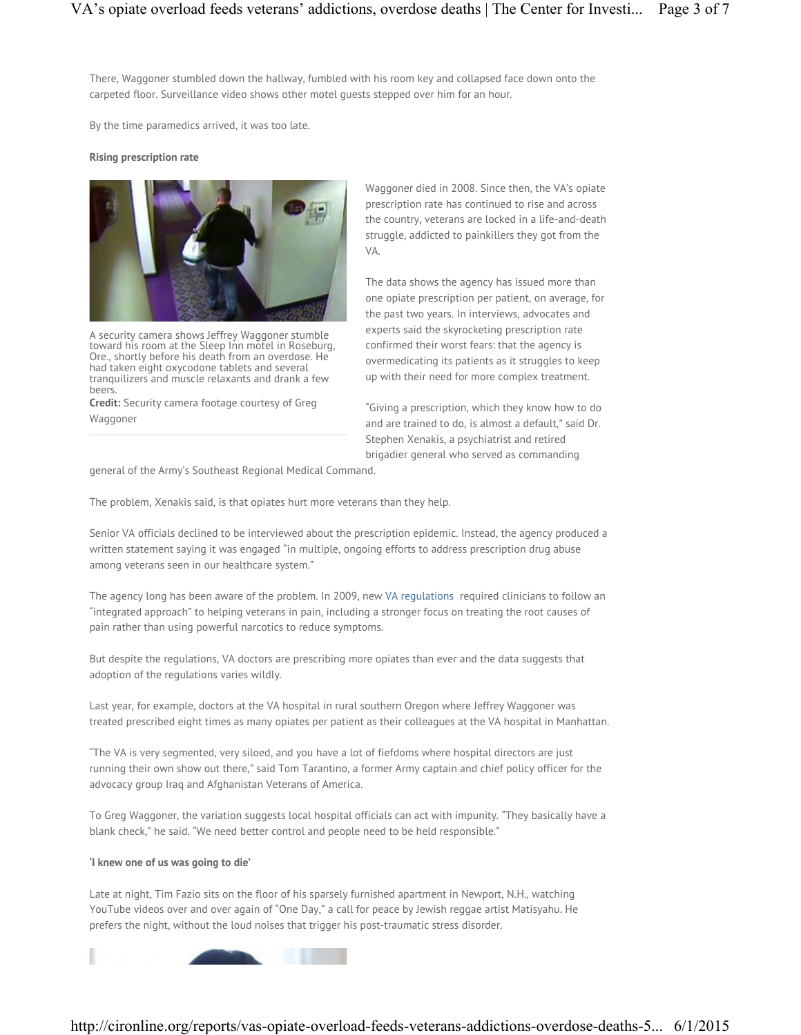There, Waggoner stumbled down the hallway, fumbled with his room key and collapsed face down onto the carpeted floor. Surveillance video shows other motel guests stepped over him for an hour.

By the time paramedics arrived, it was too late.

### **Rising prescription rate**



A security camera shows Jeffrey Waggoner stumble toward his room at the Sleep Inn motel in Roseburg, Ore., shortly before his death from an overdose. He had taken eight oxycodone tablets and several tranquilizers and muscle relaxants and drank a few beers.

**Credit:** Security camera footage courtesy of Greg Waggoner

Waggoner died in 2008. Since then, the VA's opiate prescription rate has continued to rise and across the country, veterans are locked in a life-and-death struggle, addicted to painkillers they got from the VA.

The data shows the agency has issued more than one opiate prescription per patient, on average, for the past two years. In interviews, advocates and experts said the skyrocketing prescription rate confirmed their worst fears: that the agency is overmedicating its patients as it struggles to keep up with their need for more complex treatment.

"Giving a prescription, which they know how to do and are trained to do, is almost a default," said Dr. Stephen Xenakis, a psychiatrist and retired brigadier general who served as commanding

general of the Army's Southeast Regional Medical Command.

The problem, Xenakis said, is that opiates hurt more veterans than they help.

Senior VA officials declined to be interviewed about the prescription epidemic. Instead, the agency produced a written statement saying it was engaged "in multiple, ongoing efforts to address prescription drug abuse among veterans seen in our healthcare system."

The agency long has been aware of the problem. In 2009, new VA regulations required clinicians to follow an "integrated approach" to helping veterans in pain, including a stronger focus on treating the root causes of pain rather than using powerful narcotics to reduce symptoms.

But despite the regulations, VA doctors are prescribing more opiates than ever and the data suggests that adoption of the regulations varies wildly.

Last year, for example, doctors at the VA hospital in rural southern Oregon where Jeffrey Waggoner was treated prescribed eight times as many opiates per patient as their colleagues at the VA hospital in Manhattan.

"The VA is very segmented, very siloed, and you have a lot of fiefdoms where hospital directors are just running their own show out there," said Tom Tarantino, a former Army captain and chief policy officer for the advocacy group Iraq and Afghanistan Veterans of America.

To Greg Waggoner, the variation suggests local hospital officials can act with impunity. "They basically have a blank check," he said. "We need better control and people need to be held responsible."

# **'I knew one of us was going to die'**

Late at night, Tim Fazio sits on the floor of his sparsely furnished apartment in Newport, N.H., watching YouTube videos over and over again of "One Day," a call for peace by Jewish reggae artist Matisyahu. He prefers the night, without the loud noises that trigger his post-traumatic stress disorder.

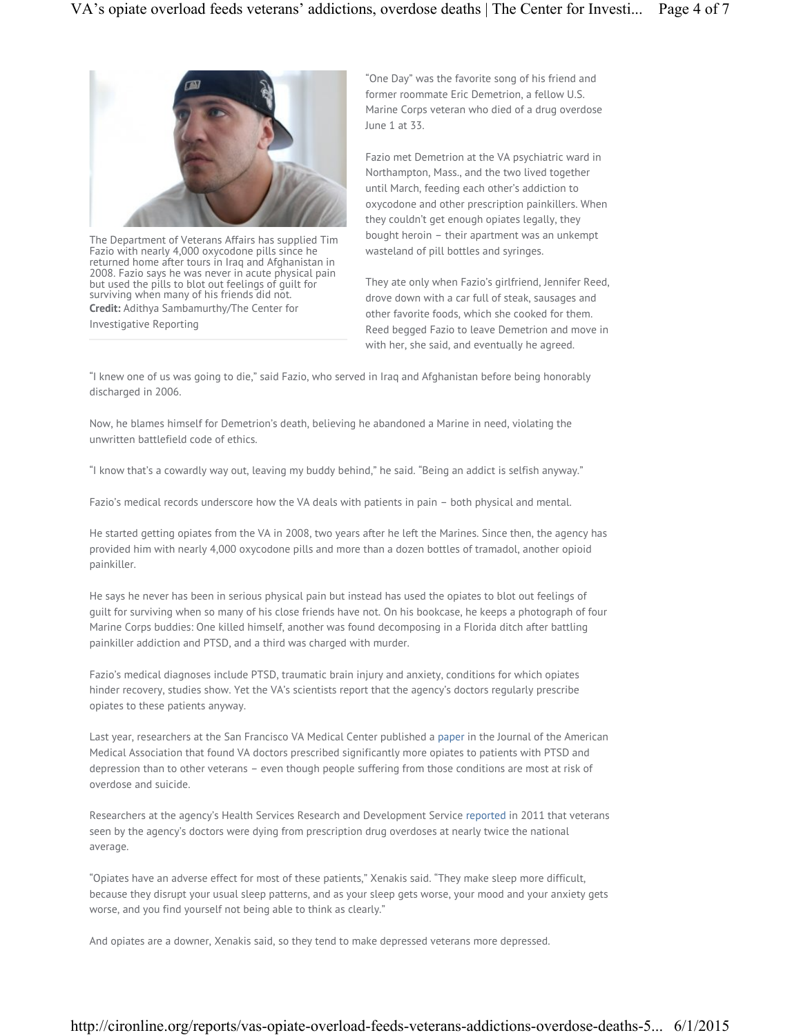

The Department of Veterans Affairs has supplied Tim Fazio with nearly 4,000 oxycodone pills since he returned home after tours in Iraq and Afghanistan in 2008. Fazio says he was never in acute physical pain but used the pills to blot out feelings of guilt for surviving when many of his friends did not. **Credit:** Adithya Sambamurthy/The Center for Investigative Reporting

"One Day" was the favorite song of his friend and former roommate Eric Demetrion, a fellow U.S. Marine Corps veteran who died of a drug overdose June 1 at 33.

Fazio met Demetrion at the VA psychiatric ward in Northampton, Mass., and the two lived together until March, feeding each other's addiction to oxycodone and other prescription painkillers. When they couldn't get enough opiates legally, they bought heroin – their apartment was an unkempt wasteland of pill bottles and syringes.

They ate only when Fazio's girlfriend, Jennifer Reed, drove down with a car full of steak, sausages and other favorite foods, which she cooked for them. Reed begged Fazio to leave Demetrion and move in with her, she said, and eventually he agreed.

"I knew one of us was going to die," said Fazio, who served in Iraq and Afghanistan before being honorably discharged in 2006.

Now, he blames himself for Demetrion's death, believing he abandoned a Marine in need, violating the unwritten battlefield code of ethics.

"I know that's a cowardly way out, leaving my buddy behind," he said. "Being an addict is selfish anyway."

Fazio's medical records underscore how the VA deals with patients in pain – both physical and mental.

He started getting opiates from the VA in 2008, two years after he left the Marines. Since then, the agency has provided him with nearly 4,000 oxycodone pills and more than a dozen bottles of tramadol, another opioid painkiller.

He says he never has been in serious physical pain but instead has used the opiates to blot out feelings of guilt for surviving when so many of his close friends have not. On his bookcase, he keeps a photograph of four Marine Corps buddies: One killed himself, another was found decomposing in a Florida ditch after battling painkiller addiction and PTSD, and a third was charged with murder.

Fazio's medical diagnoses include PTSD, traumatic brain injury and anxiety, conditions for which opiates hinder recovery, studies show. Yet the VA's scientists report that the agency's doctors regularly prescribe opiates to these patients anyway.

Last year, researchers at the San Francisco VA Medical Center published a paper in the Journal of the American Medical Association that found VA doctors prescribed significantly more opiates to patients with PTSD and depression than to other veterans – even though people suffering from those conditions are most at risk of overdose and suicide.

Researchers at the agency's Health Services Research and Development Service reported in 2011 that veterans seen by the agency's doctors were dying from prescription drug overdoses at nearly twice the national average.

"Opiates have an adverse effect for most of these patients," Xenakis said. "They make sleep more difficult, because they disrupt your usual sleep patterns, and as your sleep gets worse, your mood and your anxiety gets worse, and you find yourself not being able to think as clearly."

And opiates are a downer, Xenakis said, so they tend to make depressed veterans more depressed.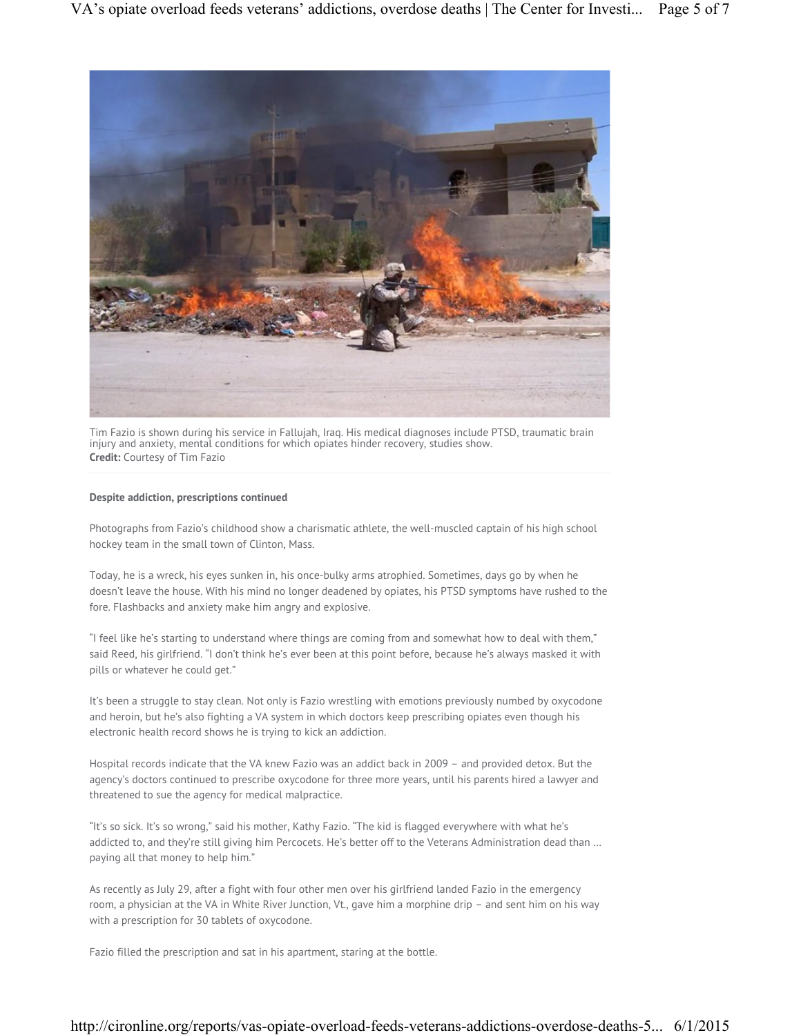

Tim Fazio is shown during his service in Fallujah, Iraq. His medical diagnoses include PTSD, traumatic brain injury and anxiety, mental conditions for which opiates hinder recovery, studies show. **Credit:** Courtesy of Tim Fazio

## **Despite addiction, prescriptions continued**

Photographs from Fazio's childhood show a charismatic athlete, the well-muscled captain of his high school hockey team in the small town of Clinton, Mass.

Today, he is a wreck, his eyes sunken in, his once-bulky arms atrophied. Sometimes, days go by when he doesn't leave the house. With his mind no longer deadened by opiates, his PTSD symptoms have rushed to the fore. Flashbacks and anxiety make him angry and explosive.

"I feel like he's starting to understand where things are coming from and somewhat how to deal with them," said Reed, his girlfriend. "I don't think he's ever been at this point before, because he's always masked it with pills or whatever he could get."

It's been a struggle to stay clean. Not only is Fazio wrestling with emotions previously numbed by oxycodone and heroin, but he's also fighting a VA system in which doctors keep prescribing opiates even though his electronic health record shows he is trying to kick an addiction.

Hospital records indicate that the VA knew Fazio was an addict back in 2009 – and provided detox. But the agency's doctors continued to prescribe oxycodone for three more years, until his parents hired a lawyer and threatened to sue the agency for medical malpractice.

"It's so sick. It's so wrong," said his mother, Kathy Fazio. "The kid is flagged everywhere with what he's addicted to, and they're still giving him Percocets. He's better off to the Veterans Administration dead than … paying all that money to help him."

As recently as July 29, after a fight with four other men over his girlfriend landed Fazio in the emergency room, a physician at the VA in White River Junction, Vt., gave him a morphine drip – and sent him on his way with a prescription for 30 tablets of oxycodone.

Fazio filled the prescription and sat in his apartment, staring at the bottle.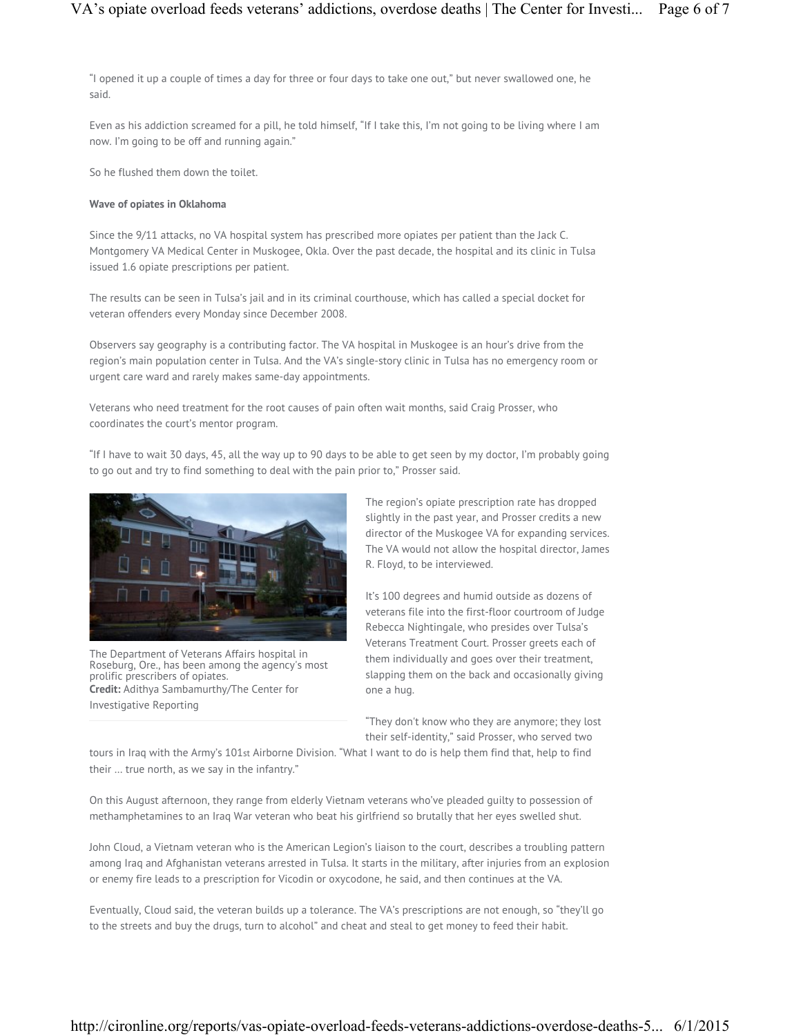"I opened it up a couple of times a day for three or four days to take one out," but never swallowed one, he said.

Even as his addiction screamed for a pill, he told himself, "If I take this, I'm not going to be living where I am now. I'm going to be off and running again."

So he flushed them down the toilet.

#### **Wave of opiates in Oklahoma**

Since the 9/11 attacks, no VA hospital system has prescribed more opiates per patient than the Jack C. Montgomery VA Medical Center in Muskogee, Okla. Over the past decade, the hospital and its clinic in Tulsa issued 1.6 opiate prescriptions per patient.

The results can be seen in Tulsa's jail and in its criminal courthouse, which has called a special docket for veteran offenders every Monday since December 2008.

Observers say geography is a contributing factor. The VA hospital in Muskogee is an hour's drive from the region's main population center in Tulsa. And the VA's single-story clinic in Tulsa has no emergency room or urgent care ward and rarely makes same-day appointments.

Veterans who need treatment for the root causes of pain often wait months, said Craig Prosser, who coordinates the court's mentor program.

"If I have to wait 30 days, 45, all the way up to 90 days to be able to get seen by my doctor, I'm probably going to go out and try to find something to deal with the pain prior to," Prosser said.



The Department of Veterans Affairs hospital in Roseburg, Ore., has been among the agency's most prolific prescribers of opiates. **Credit:** Adithya Sambamurthy/The Center for Investigative Reporting

The region's opiate prescription rate has dropped slightly in the past year, and Prosser credits a new director of the Muskogee VA for expanding services. The VA would not allow the hospital director, James R. Floyd, to be interviewed.

It's 100 degrees and humid outside as dozens of veterans file into the first-floor courtroom of Judge Rebecca Nightingale, who presides over Tulsa's Veterans Treatment Court. Prosser greets each of them individually and goes over their treatment, slapping them on the back and occasionally giving one a hug.

"They don't know who they are anymore; they lost their self-identity," said Prosser, who served two

tours in Iraq with the Army's 101st Airborne Division. "What I want to do is help them find that, help to find their … true north, as we say in the infantry."

On this August afternoon, they range from elderly Vietnam veterans who've pleaded guilty to possession of methamphetamines to an Iraq War veteran who beat his girlfriend so brutally that her eyes swelled shut.

John Cloud, a Vietnam veteran who is the American Legion's liaison to the court, describes a troubling pattern among Iraq and Afghanistan veterans arrested in Tulsa. It starts in the military, after injuries from an explosion or enemy fire leads to a prescription for Vicodin or oxycodone, he said, and then continues at the VA.

Eventually, Cloud said, the veteran builds up a tolerance. The VA's prescriptions are not enough, so "they'll go to the streets and buy the drugs, turn to alcohol" and cheat and steal to get money to feed their habit.